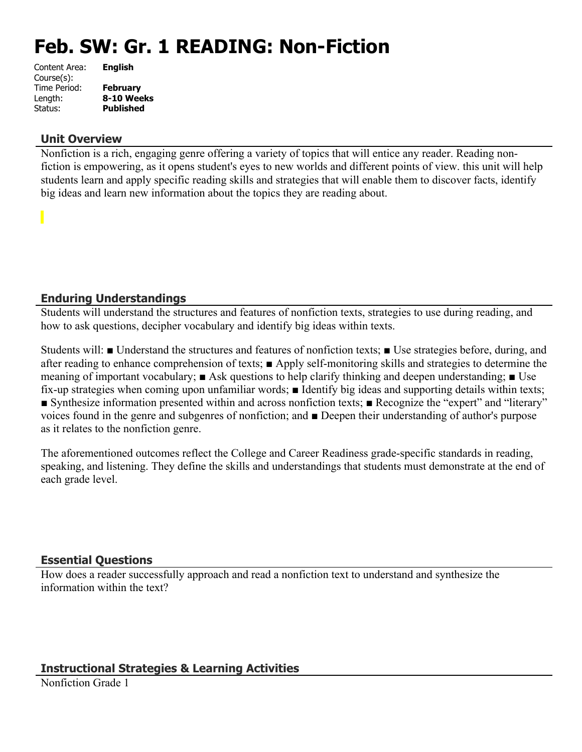# **Feb. SW: Gr. 1 READING: Non-Fiction**

| Content Area: | <b>English</b>   |
|---------------|------------------|
| Course(s):    |                  |
| Time Period:  | <b>February</b>  |
| Length:       | 8-10 Weeks       |
| Status:       | <b>Published</b> |
|               |                  |

#### **Unit Overview**

Nonfiction is a rich, engaging genre offering a variety of topics that will entice any reader. Reading nonfiction is empowering, as it opens student's eyes to new worlds and different points of view. this unit will help students learn and apply specific reading skills and strategies that will enable them to discover facts, identify big ideas and learn new information about the topics they are reading about.

## **Enduring Understandings**

Students will understand the structures and features of nonfiction texts, strategies to use during reading, and how to ask questions, decipher vocabulary and identify big ideas within texts.

Students will: ■ Understand the structures and features of nonfiction texts; ■ Use strategies before, during, and after reading to enhance comprehension of texts; ■ Apply self-monitoring skills and strategies to determine the meaning of important vocabulary; ■ Ask questions to help clarify thinking and deepen understanding; ■ Use fix-up strategies when coming upon unfamiliar words; ■ Identify big ideas and supporting details within texts; ■ Synthesize information presented within and across nonfiction texts; ■ Recognize the "expert" and "literary" voices found in the genre and subgenres of nonfiction; and ■ Deepen their understanding of author's purpose as it relates to the nonfiction genre.

The aforementioned outcomes reflect the College and Career Readiness grade-specific standards in reading, speaking, and listening. They define the skills and understandings that students must demonstrate at the end of each grade level.

#### **Essential Questions**

How does a reader successfully approach and read a nonfiction text to understand and synthesize the information within the text?

# **Instructional Strategies & Learning Activities**

Nonfiction Grade 1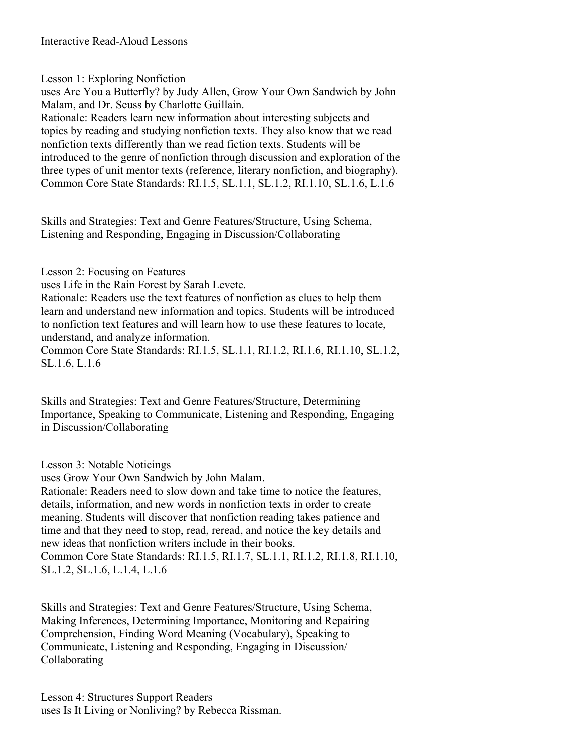Lesson 1: Exploring Nonfiction

uses Are You a Butterfly? by Judy Allen, Grow Your Own Sandwich by John Malam, and Dr. Seuss by Charlotte Guillain.

Rationale: Readers learn new information about interesting subjects and topics by reading and studying nonfiction texts. They also know that we read nonfiction texts differently than we read fiction texts. Students will be introduced to the genre of nonfiction through discussion and exploration of the three types of unit mentor texts (reference, literary nonfiction, and biography). Common Core State Standards: RI.1.5, SL.1.1, SL.1.2, RI.1.10, SL.1.6, L.1.6

Skills and Strategies: Text and Genre Features/Structure, Using Schema, Listening and Responding, Engaging in Discussion/Collaborating

Lesson 2: Focusing on Features

uses Life in the Rain Forest by Sarah Levete.

Rationale: Readers use the text features of nonfiction as clues to help them learn and understand new information and topics. Students will be introduced to nonfiction text features and will learn how to use these features to locate, understand, and analyze information.

Common Core State Standards: RI.1.5, SL.1.1, RI.1.2, RI.1.6, RI.1.10, SL.1.2, SL.1.6, L.1.6

Skills and Strategies: Text and Genre Features/Structure, Determining Importance, Speaking to Communicate, Listening and Responding, Engaging in Discussion/Collaborating

Lesson 3: Notable Noticings

uses Grow Your Own Sandwich by John Malam.

Rationale: Readers need to slow down and take time to notice the features, details, information, and new words in nonfiction texts in order to create meaning. Students will discover that nonfiction reading takes patience and time and that they need to stop, read, reread, and notice the key details and new ideas that nonfiction writers include in their books.

Common Core State Standards: RI.1.5, RI.1.7, SL.1.1, RI.1.2, RI.1.8, RI.1.10, SL.1.2, SL.1.6, L.1.4, L.1.6

Skills and Strategies: Text and Genre Features/Structure, Using Schema, Making Inferences, Determining Importance, Monitoring and Repairing Comprehension, Finding Word Meaning (Vocabulary), Speaking to Communicate, Listening and Responding, Engaging in Discussion/ Collaborating

Lesson 4: Structures Support Readers uses Is It Living or Nonliving? by Rebecca Rissman.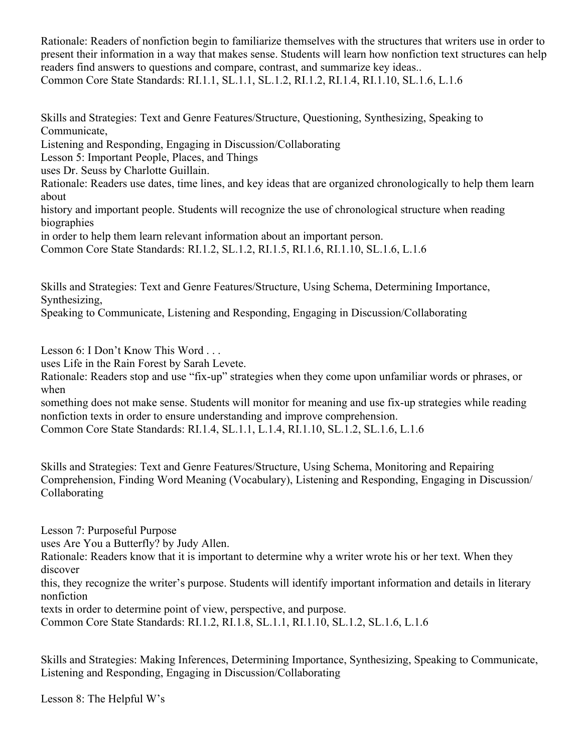Rationale: Readers of nonfiction begin to familiarize themselves with the structures that writers use in order to present their information in a way that makes sense. Students will learn how nonfiction text structures can help readers find answers to questions and compare, contrast, and summarize key ideas.. Common Core State Standards: RI.1.1, SL.1.1, SL.1.2, RI.1.2, RI.1.4, RI.1.10, SL.1.6, L.1.6

Skills and Strategies: Text and Genre Features/Structure, Questioning, Synthesizing, Speaking to Communicate, Listening and Responding, Engaging in Discussion/Collaborating Lesson 5: Important People, Places, and Things uses Dr. Seuss by Charlotte Guillain. Rationale: Readers use dates, time lines, and key ideas that are organized chronologically to help them learn

about history and important people. Students will recognize the use of chronological structure when reading biographies

in order to help them learn relevant information about an important person.

Common Core State Standards: RI.1.2, SL.1.2, RI.1.5, RI.1.6, RI.1.10, SL.1.6, L.1.6

Skills and Strategies: Text and Genre Features/Structure, Using Schema, Determining Importance, Synthesizing,

Speaking to Communicate, Listening and Responding, Engaging in Discussion/Collaborating

Lesson 6: I Don't Know This Word . . .

uses Life in the Rain Forest by Sarah Levete.

Rationale: Readers stop and use "fix-up" strategies when they come upon unfamiliar words or phrases, or when

something does not make sense. Students will monitor for meaning and use fix-up strategies while reading nonfiction texts in order to ensure understanding and improve comprehension.

Common Core State Standards: RI.1.4, SL.1.1, L.1.4, RI.1.10, SL.1.2, SL.1.6, L.1.6

Skills and Strategies: Text and Genre Features/Structure, Using Schema, Monitoring and Repairing Comprehension, Finding Word Meaning (Vocabulary), Listening and Responding, Engaging in Discussion/ Collaborating

Lesson 7: Purposeful Purpose

uses Are You a Butterfly? by Judy Allen.

Rationale: Readers know that it is important to determine why a writer wrote his or her text. When they discover

this, they recognize the writer's purpose. Students will identify important information and details in literary nonfiction

texts in order to determine point of view, perspective, and purpose.

Common Core State Standards: RI.1.2, RI.1.8, SL.1.1, RI.1.10, SL.1.2, SL.1.6, L.1.6

Skills and Strategies: Making Inferences, Determining Importance, Synthesizing, Speaking to Communicate, Listening and Responding, Engaging in Discussion/Collaborating

Lesson 8: The Helpful W's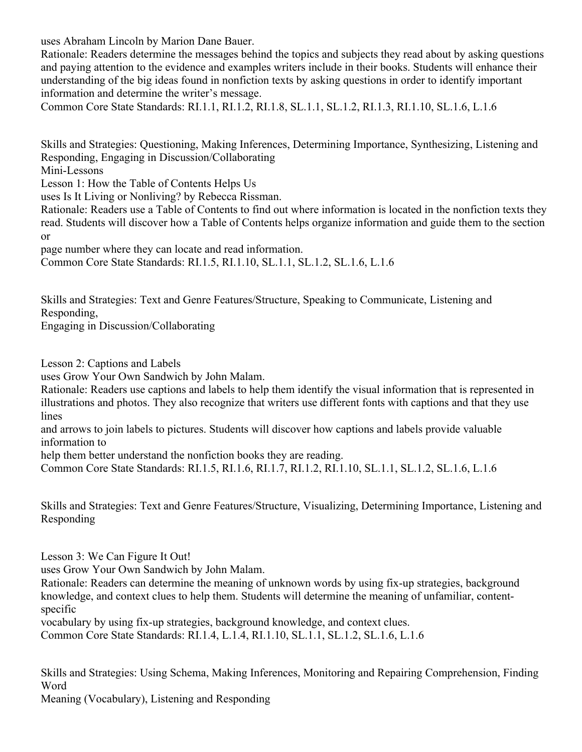uses Abraham Lincoln by Marion Dane Bauer.

Rationale: Readers determine the messages behind the topics and subjects they read about by asking questions and paying attention to the evidence and examples writers include in their books. Students will enhance their understanding of the big ideas found in nonfiction texts by asking questions in order to identify important information and determine the writer's message.

Common Core State Standards: RI.1.1, RI.1.2, RI.1.8, SL.1.1, SL.1.2, RI.1.3, RI.1.10, SL.1.6, L.1.6

Skills and Strategies: Questioning, Making Inferences, Determining Importance, Synthesizing, Listening and Responding, Engaging in Discussion/Collaborating

Mini-Lessons

Lesson 1: How the Table of Contents Helps Us

uses Is It Living or Nonliving? by Rebecca Rissman.

Rationale: Readers use a Table of Contents to find out where information is located in the nonfiction texts they read. Students will discover how a Table of Contents helps organize information and guide them to the section or

page number where they can locate and read information.

Common Core State Standards: RI.1.5, RI.1.10, SL.1.1, SL.1.2, SL.1.6, L.1.6

Skills and Strategies: Text and Genre Features/Structure, Speaking to Communicate, Listening and Responding,

Engaging in Discussion/Collaborating

Lesson 2: Captions and Labels

uses Grow Your Own Sandwich by John Malam.

Rationale: Readers use captions and labels to help them identify the visual information that is represented in illustrations and photos. They also recognize that writers use different fonts with captions and that they use lines

and arrows to join labels to pictures. Students will discover how captions and labels provide valuable information to

help them better understand the nonfiction books they are reading.

Common Core State Standards: RI.1.5, RI.1.6, RI.1.7, RI.1.2, RI.1.10, SL.1.1, SL.1.2, SL.1.6, L.1.6

Skills and Strategies: Text and Genre Features/Structure, Visualizing, Determining Importance, Listening and Responding

Lesson 3: We Can Figure It Out!

uses Grow Your Own Sandwich by John Malam.

Rationale: Readers can determine the meaning of unknown words by using fix-up strategies, background knowledge, and context clues to help them. Students will determine the meaning of unfamiliar, contentspecific

vocabulary by using fix-up strategies, background knowledge, and context clues.

Common Core State Standards: RI.1.4, L.1.4, RI.1.10, SL.1.1, SL.1.2, SL.1.6, L.1.6

Skills and Strategies: Using Schema, Making Inferences, Monitoring and Repairing Comprehension, Finding Word

Meaning (Vocabulary), Listening and Responding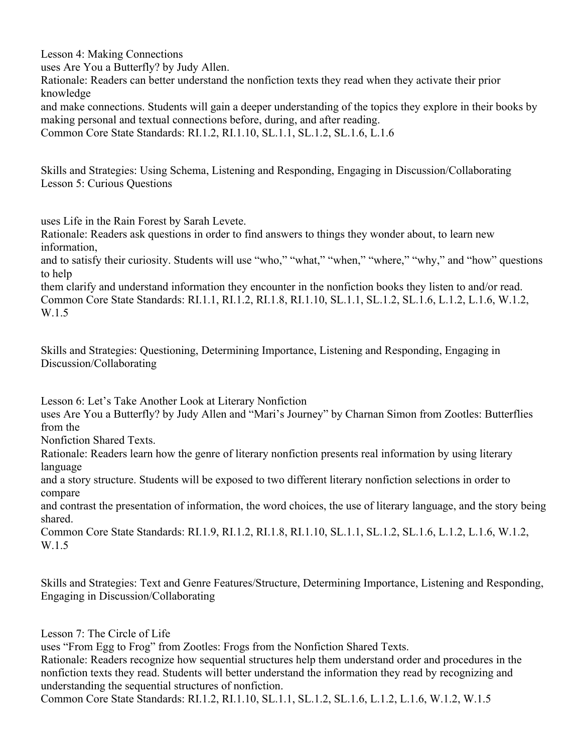Lesson 4: Making Connections uses Are You a Butterfly? by Judy Allen. Rationale: Readers can better understand the nonfiction texts they read when they activate their prior knowledge and make connections. Students will gain a deeper understanding of the topics they explore in their books by making personal and textual connections before, during, and after reading. Common Core State Standards: RI.1.2, RI.1.10, SL.1.1, SL.1.2, SL.1.6, L.1.6

Skills and Strategies: Using Schema, Listening and Responding, Engaging in Discussion/Collaborating Lesson 5: Curious Questions

uses Life in the Rain Forest by Sarah Levete.

Rationale: Readers ask questions in order to find answers to things they wonder about, to learn new information,

and to satisfy their curiosity. Students will use "who," "what," "when," "where," "why," and "how" questions to help

them clarify and understand information they encounter in the nonfiction books they listen to and/or read. Common Core State Standards: RI.1.1, RI.1.2, RI.1.8, RI.1.10, SL.1.1, SL.1.2, SL.1.6, L.1.2, L.1.6, W.1.2, W.1.5

Skills and Strategies: Questioning, Determining Importance, Listening and Responding, Engaging in Discussion/Collaborating

Lesson 6: Let's Take Another Look at Literary Nonfiction

uses Are You a Butterfly? by Judy Allen and "Mari's Journey" by Charnan Simon from Zootles: Butterflies from the

Nonfiction Shared Texts.

Rationale: Readers learn how the genre of literary nonfiction presents real information by using literary language

and a story structure. Students will be exposed to two different literary nonfiction selections in order to compare

and contrast the presentation of information, the word choices, the use of literary language, and the story being shared.

Common Core State Standards: RI.1.9, RI.1.2, RI.1.8, RI.1.10, SL.1.1, SL.1.2, SL.1.6, L.1.2, L.1.6, W.1.2, W.1.5

Skills and Strategies: Text and Genre Features/Structure, Determining Importance, Listening and Responding, Engaging in Discussion/Collaborating

Lesson 7: The Circle of Life

uses "From Egg to Frog" from Zootles: Frogs from the Nonfiction Shared Texts.

Rationale: Readers recognize how sequential structures help them understand order and procedures in the nonfiction texts they read. Students will better understand the information they read by recognizing and understanding the sequential structures of nonfiction.

Common Core State Standards: RI.1.2, RI.1.10, SL.1.1, SL.1.2, SL.1.6, L.1.2, L.1.6, W.1.2, W.1.5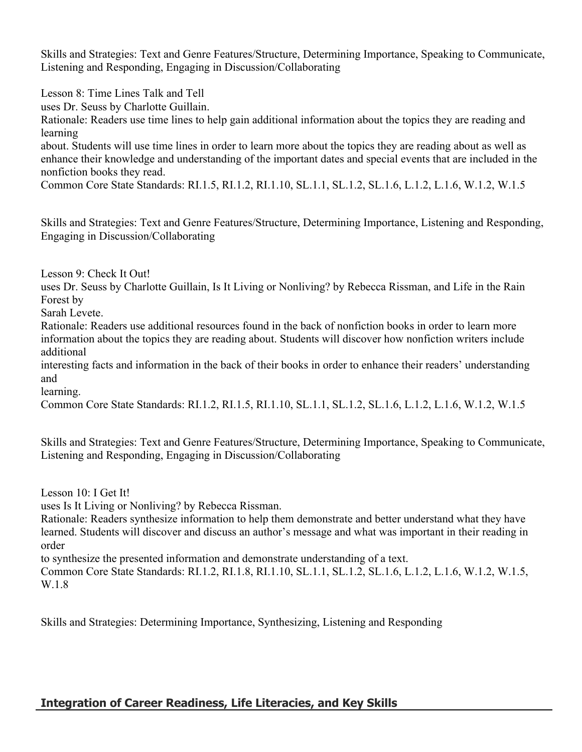Skills and Strategies: Text and Genre Features/Structure, Determining Importance, Speaking to Communicate, Listening and Responding, Engaging in Discussion/Collaborating

Lesson 8: Time Lines Talk and Tell

uses Dr. Seuss by Charlotte Guillain.

Rationale: Readers use time lines to help gain additional information about the topics they are reading and learning

about. Students will use time lines in order to learn more about the topics they are reading about as well as enhance their knowledge and understanding of the important dates and special events that are included in the nonfiction books they read.

Common Core State Standards: RI.1.5, RI.1.2, RI.1.10, SL.1.1, SL.1.2, SL.1.6, L.1.2, L.1.6, W.1.2, W.1.5

Skills and Strategies: Text and Genre Features/Structure, Determining Importance, Listening and Responding, Engaging in Discussion/Collaborating

Lesson 9: Check It Out!

uses Dr. Seuss by Charlotte Guillain, Is It Living or Nonliving? by Rebecca Rissman, and Life in the Rain Forest by

Sarah Levete.

Rationale: Readers use additional resources found in the back of nonfiction books in order to learn more information about the topics they are reading about. Students will discover how nonfiction writers include additional

interesting facts and information in the back of their books in order to enhance their readers' understanding and

learning.

Common Core State Standards: RI.1.2, RI.1.5, RI.1.10, SL.1.1, SL.1.2, SL.1.6, L.1.2, L.1.6, W.1.2, W.1.5

Skills and Strategies: Text and Genre Features/Structure, Determining Importance, Speaking to Communicate, Listening and Responding, Engaging in Discussion/Collaborating

Lesson 10: I Get It!

uses Is It Living or Nonliving? by Rebecca Rissman.

Rationale: Readers synthesize information to help them demonstrate and better understand what they have learned. Students will discover and discuss an author's message and what was important in their reading in order

to synthesize the presented information and demonstrate understanding of a text.

Common Core State Standards: RI.1.2, RI.1.8, RI.1.10, SL.1.1, SL.1.2, SL.1.6, L.1.2, L.1.6, W.1.2, W.1.5, W.1.8

Skills and Strategies: Determining Importance, Synthesizing, Listening and Responding

# **Integration of Career Readiness, Life Literacies, and Key Skills**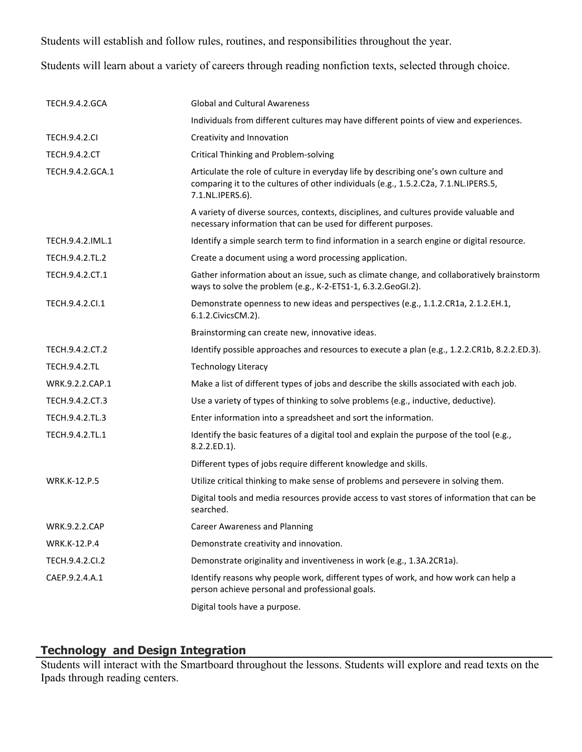Students will establish and follow rules, routines, and responsibilities throughout the year.

Students will learn about a variety of careers through reading nonfiction texts, selected through choice.

| <b>TECH.9.4.2.GCA</b> | <b>Global and Cultural Awareness</b>                                                                                                                                                           |
|-----------------------|------------------------------------------------------------------------------------------------------------------------------------------------------------------------------------------------|
|                       | Individuals from different cultures may have different points of view and experiences.                                                                                                         |
| <b>TECH.9.4.2.CI</b>  | Creativity and Innovation                                                                                                                                                                      |
| <b>TECH.9.4.2.CT</b>  | <b>Critical Thinking and Problem-solving</b>                                                                                                                                                   |
| TECH.9.4.2.GCA.1      | Articulate the role of culture in everyday life by describing one's own culture and<br>comparing it to the cultures of other individuals (e.g., 1.5.2.C2a, 7.1.NL.IPERS.5,<br>7.1.NL.IPERS.6). |
|                       | A variety of diverse sources, contexts, disciplines, and cultures provide valuable and<br>necessary information that can be used for different purposes.                                       |
| TECH.9.4.2.IML.1      | Identify a simple search term to find information in a search engine or digital resource.                                                                                                      |
| TECH.9.4.2.TL.2       | Create a document using a word processing application.                                                                                                                                         |
| TECH.9.4.2.CT.1       | Gather information about an issue, such as climate change, and collaboratively brainstorm<br>ways to solve the problem (e.g., K-2-ETS1-1, 6.3.2.GeoGI.2).                                      |
| TECH.9.4.2.Cl.1       | Demonstrate openness to new ideas and perspectives (e.g., 1.1.2.CR1a, 2.1.2.EH.1,<br>6.1.2. Civics CM. 2).                                                                                     |
|                       | Brainstorming can create new, innovative ideas.                                                                                                                                                |
| TECH.9.4.2.CT.2       | Identify possible approaches and resources to execute a plan (e.g., 1.2.2.CR1b, 8.2.2.ED.3).                                                                                                   |
| <b>TECH.9.4.2.TL</b>  | <b>Technology Literacy</b>                                                                                                                                                                     |
| WRK.9.2.2.CAP.1       | Make a list of different types of jobs and describe the skills associated with each job.                                                                                                       |
| TECH.9.4.2.CT.3       | Use a variety of types of thinking to solve problems (e.g., inductive, deductive).                                                                                                             |
| TECH.9.4.2.TL.3       | Enter information into a spreadsheet and sort the information.                                                                                                                                 |
| TECH.9.4.2.TL.1       | Identify the basic features of a digital tool and explain the purpose of the tool (e.g.,<br>8.2.2.ED.1).                                                                                       |
|                       | Different types of jobs require different knowledge and skills.                                                                                                                                |
| <b>WRK.K-12.P.5</b>   | Utilize critical thinking to make sense of problems and persevere in solving them.                                                                                                             |
|                       | Digital tools and media resources provide access to vast stores of information that can be<br>searched.                                                                                        |
| <b>WRK.9.2.2.CAP</b>  | <b>Career Awareness and Planning</b>                                                                                                                                                           |
| <b>WRK.K-12.P.4</b>   | Demonstrate creativity and innovation.                                                                                                                                                         |
| TECH.9.4.2.CI.2       | Demonstrate originality and inventiveness in work (e.g., 1.3A.2CR1a).                                                                                                                          |
| CAEP.9.2.4.A.1        | Identify reasons why people work, different types of work, and how work can help a<br>person achieve personal and professional goals.                                                          |
|                       | Digital tools have a purpose.                                                                                                                                                                  |

# **Technology and Design Integration**

Students will interact with the Smartboard throughout the lessons. Students will explore and read texts on the Ipads through reading centers.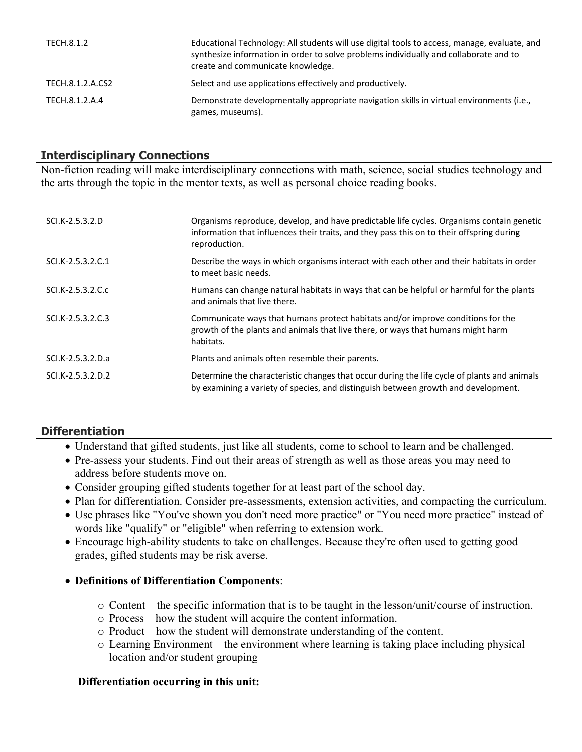| TECH.8.1.2       | Educational Technology: All students will use digital tools to access, manage, evaluate, and<br>synthesize information in order to solve problems individually and collaborate and to<br>create and communicate knowledge. |
|------------------|----------------------------------------------------------------------------------------------------------------------------------------------------------------------------------------------------------------------------|
| TECH.8.1.2.A.CS2 | Select and use applications effectively and productively.                                                                                                                                                                  |
| TECH.8.1.2.A.4   | Demonstrate developmentally appropriate navigation skills in virtual environments (i.e.,<br>games, museums).                                                                                                               |

# **Interdisciplinary Connections**

Non-fiction reading will make interdisciplinary connections with math, science, social studies technology and the arts through the topic in the mentor texts, as well as personal choice reading books.

| SCI.K-2.5.3.2.D   | Organisms reproduce, develop, and have predictable life cycles. Organisms contain genetic<br>information that influences their traits, and they pass this on to their offspring during<br>reproduction. |
|-------------------|---------------------------------------------------------------------------------------------------------------------------------------------------------------------------------------------------------|
| SCI.K-2.5.3.2.C.1 | Describe the ways in which organisms interact with each other and their habitats in order<br>to meet basic needs.                                                                                       |
| SCI.K-2.5.3.2.C.c | Humans can change natural habitats in ways that can be helpful or harmful for the plants<br>and animals that live there.                                                                                |
| SCI.K-2.5.3.2.C.3 | Communicate ways that humans protect habitats and/or improve conditions for the<br>growth of the plants and animals that live there, or ways that humans might harm<br>habitats.                        |
| SCI.K-2.5.3.2.D.a | Plants and animals often resemble their parents.                                                                                                                                                        |
| SCI.K-2.5.3.2.D.2 | Determine the characteristic changes that occur during the life cycle of plants and animals<br>by examining a variety of species, and distinguish between growth and development.                       |

# **Differentiation**

- Understand that gifted students, just like all students, come to school to learn and be challenged.
- Pre-assess your students. Find out their areas of strength as well as those areas you may need to address before students move on.
- Consider grouping gifted students together for at least part of the school day.
- Plan for differentiation. Consider pre-assessments, extension activities, and compacting the curriculum.
- Use phrases like "You've shown you don't need more practice" or "You need more practice" instead of words like "qualify" or "eligible" when referring to extension work.
- Encourage high-ability students to take on challenges. Because they're often used to getting good grades, gifted students may be risk averse.

#### **Definitions of Differentiation Components**:

- o Content the specific information that is to be taught in the lesson/unit/course of instruction.
- o Process how the student will acquire the content information.
- o Product how the student will demonstrate understanding of the content.
- o Learning Environment the environment where learning is taking place including physical location and/or student grouping

#### **Differentiation occurring in this unit:**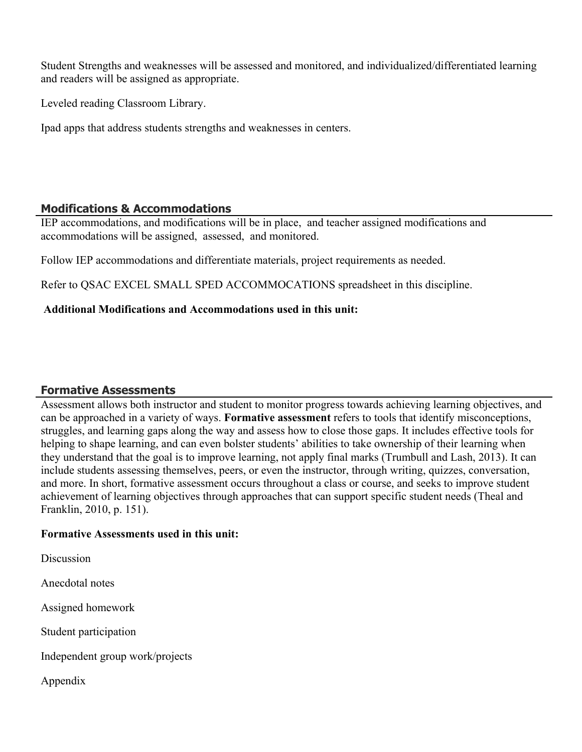Student Strengths and weaknesses will be assessed and monitored, and individualized/differentiated learning and readers will be assigned as appropriate.

Leveled reading Classroom Library.

Ipad apps that address students strengths and weaknesses in centers.

# **Modifications & Accommodations**

IEP accommodations, and modifications will be in place, and teacher assigned modifications and accommodations will be assigned, assessed, and monitored.

Follow IEP accommodations and differentiate materials, project requirements as needed.

Refer to QSAC EXCEL SMALL SPED ACCOMMOCATIONS spreadsheet in this discipline.

## **Additional Modifications and Accommodations used in this unit:**

# **Formative Assessments**

Assessment allows both instructor and student to monitor progress towards achieving learning objectives, and can be approached in a variety of ways. **Formative assessment** refers to tools that identify misconceptions, struggles, and learning gaps along the way and assess how to close those gaps. It includes effective tools for helping to shape learning, and can even bolster students' abilities to take ownership of their learning when they understand that the goal is to improve learning, not apply final marks (Trumbull and Lash, 2013). It can include students assessing themselves, peers, or even the instructor, through writing, quizzes, conversation, and more. In short, formative assessment occurs throughout a class or course, and seeks to improve student achievement of learning objectives through approaches that can support specific student needs (Theal and Franklin, 2010, p. 151).

#### **Formative Assessments used in this unit:**

**Discussion** 

Anecdotal notes

Assigned homework

Student participation

Independent group work/projects

Appendix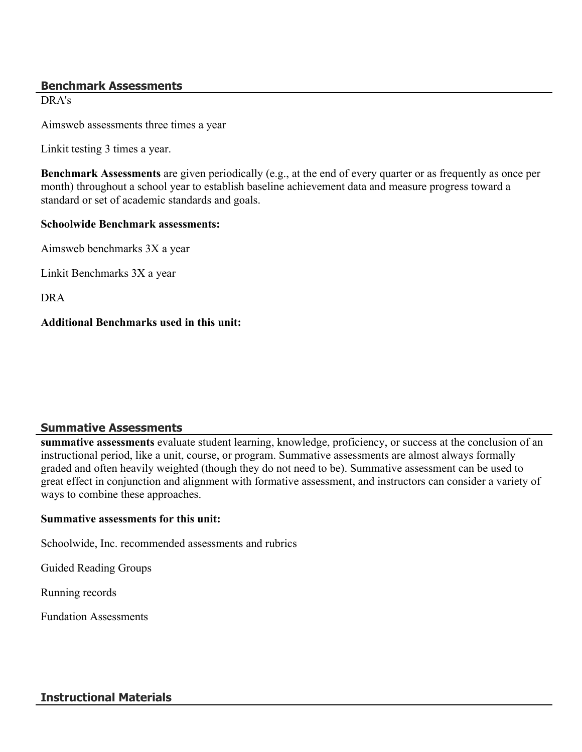#### **Benchmark Assessments**

DRA's

Aimsweb assessments three times a year

Linkit testing 3 times a year.

**Benchmark Assessments** are given periodically (e.g., at the end of every quarter or as frequently as once per month) throughout a school year to establish baseline achievement data and measure progress toward a standard or set of academic standards and goals.

#### **Schoolwide Benchmark assessments:**

Aimsweb benchmarks 3X a year

Linkit Benchmarks 3X a year

DRA

#### **Additional Benchmarks used in this unit:**

#### **Summative Assessments**

**summative assessments** evaluate student learning, knowledge, proficiency, or success at the conclusion of an instructional period, like a unit, course, or program. Summative assessments are almost always formally graded and often heavily weighted (though they do not need to be). Summative assessment can be used to great effect in conjunction and alignment with formative assessment, and instructors can consider a variety of ways to combine these approaches.

#### **Summative assessments for this unit:**

Schoolwide, Inc. recommended assessments and rubrics

Guided Reading Groups

Running records

Fundation Assessments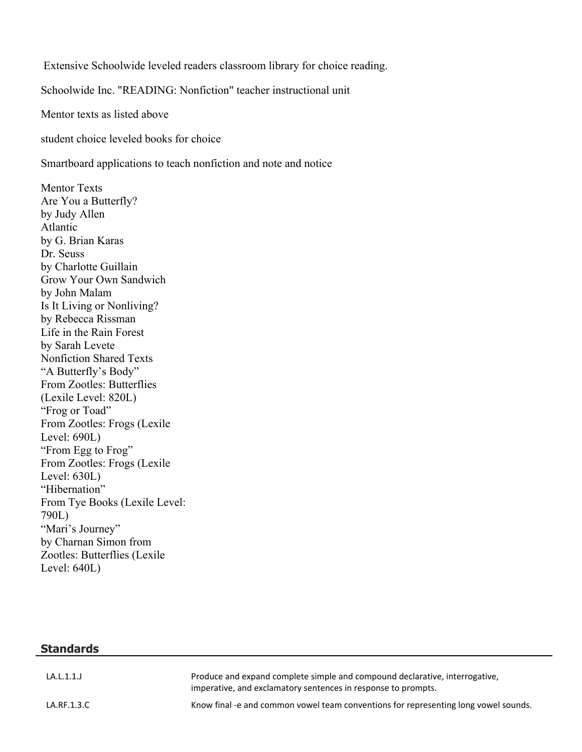Extensive Schoolwide leveled readers classroom library for choice reading.

Schoolwide Inc. "READING: Nonfiction" teacher instructional unit

Mentor texts as listed above

student choice leveled books for choice

Smartboard applications to teach nonfiction and note and notice

Mentor Texts Are You a Butterfly? by Judy Allen Atlantic by G. Brian Karas Dr. Seuss by Charlotte Guillain Grow Your Own Sandwich by John Malam Is It Living or Nonliving? by Rebecca Rissman Life in the Rain Forest by Sarah Levete Nonfiction Shared Texts "A Butterfly's Body" From Zootles: Butterflies (Lexile Level: 820L) "Frog or Toad" From Zootles: Frogs (Lexile Level: 690L) "From Egg to Frog" From Zootles: Frogs (Lexile Level: 630L) "Hibernation" From Tye Books (Lexile Level: 790L) "Mari's Journey" by Charnan Simon from Zootles: Butterflies (Lexile Level: 640L)

**Standards**

| LA.L.1.1.   | Produce and expand complete simple and compound declarative, interrogative,<br>imperative, and exclamatory sentences in response to prompts. |
|-------------|----------------------------------------------------------------------------------------------------------------------------------------------|
| LA.RF.1.3.C | Know final -e and common vowel team conventions for representing long vowel sounds.                                                          |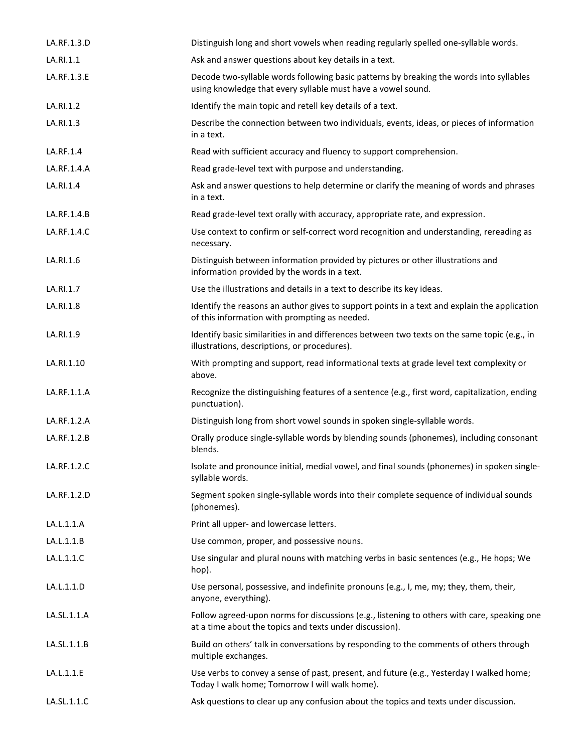| LA.RF.1.3.D | Distinguish long and short vowels when reading regularly spelled one-syllable words.                                                                    |
|-------------|---------------------------------------------------------------------------------------------------------------------------------------------------------|
| LA.RI.1.1   | Ask and answer questions about key details in a text.                                                                                                   |
| LA.RF.1.3.E | Decode two-syllable words following basic patterns by breaking the words into syllables<br>using knowledge that every syllable must have a vowel sound. |
| LA.RI.1.2   | Identify the main topic and retell key details of a text.                                                                                               |
| LA.RI.1.3   | Describe the connection between two individuals, events, ideas, or pieces of information<br>in a text.                                                  |
| LA.RF.1.4   | Read with sufficient accuracy and fluency to support comprehension.                                                                                     |
| LA.RF.1.4.A | Read grade-level text with purpose and understanding.                                                                                                   |
| LA.RI.1.4   | Ask and answer questions to help determine or clarify the meaning of words and phrases<br>in a text.                                                    |
| LA.RF.1.4.B | Read grade-level text orally with accuracy, appropriate rate, and expression.                                                                           |
| LA.RF.1.4.C | Use context to confirm or self-correct word recognition and understanding, rereading as<br>necessary.                                                   |
| LA.RI.1.6   | Distinguish between information provided by pictures or other illustrations and<br>information provided by the words in a text.                         |
| LA.RI.1.7   | Use the illustrations and details in a text to describe its key ideas.                                                                                  |
| LA.RI.1.8   | Identify the reasons an author gives to support points in a text and explain the application<br>of this information with prompting as needed.           |
| LA.RI.1.9   | Identify basic similarities in and differences between two texts on the same topic (e.g., in<br>illustrations, descriptions, or procedures).            |
| LA.RI.1.10  | With prompting and support, read informational texts at grade level text complexity or<br>above.                                                        |
| LA.RF.1.1.A | Recognize the distinguishing features of a sentence (e.g., first word, capitalization, ending<br>punctuation).                                          |
| LA.RF.1.2.A | Distinguish long from short vowel sounds in spoken single-syllable words.                                                                               |
| LA.RF.1.2.B | Orally produce single-syllable words by blending sounds (phonemes), including consonant<br>blends.                                                      |
| LA.RF.1.2.C | Isolate and pronounce initial, medial vowel, and final sounds (phonemes) in spoken single-<br>syllable words.                                           |
| LA.RF.1.2.D | Segment spoken single-syllable words into their complete sequence of individual sounds<br>(phonemes).                                                   |
| LA.L.1.1.A  | Print all upper- and lowercase letters.                                                                                                                 |
| LA.L.1.1.B  | Use common, proper, and possessive nouns.                                                                                                               |
| LA.L.1.1.C  | Use singular and plural nouns with matching verbs in basic sentences (e.g., He hops; We<br>hop).                                                        |
| LA.L.1.1.D  | Use personal, possessive, and indefinite pronouns (e.g., I, me, my; they, them, their,<br>anyone, everything).                                          |
| LA.SL.1.1.A | Follow agreed-upon norms for discussions (e.g., listening to others with care, speaking one<br>at a time about the topics and texts under discussion).  |
| LA.SL.1.1.B | Build on others' talk in conversations by responding to the comments of others through<br>multiple exchanges.                                           |
| LA.L.1.1.E  | Use verbs to convey a sense of past, present, and future (e.g., Yesterday I walked home;<br>Today I walk home; Tomorrow I will walk home).              |
| LA.SL.1.1.C | Ask questions to clear up any confusion about the topics and texts under discussion.                                                                    |